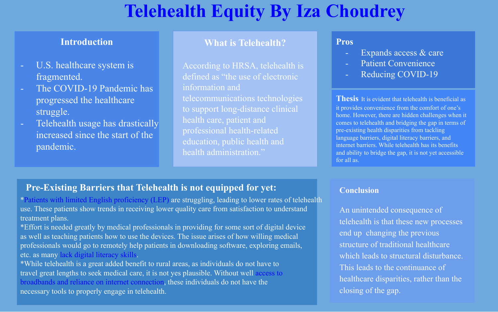## **Telehealth Equity By Iza Choudrey**

#### **Introduction**

- U.S. healthcare system is fragmented.
- The COVID-19 Pandemic has progressed the healthcare struggle.
- Telehealth usage has drastically increased since the start of the pandemic.

#### **What is Telehealth?**

According to HRSA, telehealth is defined as "the use of electronic information and telecommunications technologies to support long-distance clinical education, public health and health administration."

#### **Pros**

- Expands access  $\&$  care
- Patient Convenience
- Reducing COVID-19

**Thesis** It is evident that telehealth is beneficial as it provides convenience from the comfort of one's home. However, there are hidden challenges when it comes to telehealth and bridging the gap in terms of pre-existing health disparities from tackling language barriers, digital literacy barriers, and internet barriers. While telehealth has its benefits and ability to bridge the gap, it is not yet accessible for all as.

#### **Pre-Existing Barriers that Telehealth is not equipped for yet:**

\*Patients with limited English proficiency (LEP) are struggling, leading to lower rates of telehealth use. These patients show trends in receiving lower quality care from satisfaction to understand treatment plans.

\*Effort is needed greatly by medical professionals in providing for some sort of digital device as well as teaching patients how to use the devices. The issue arises of how willing medical professionals would go to remotely help patients in downloading software, exploring emails, etc. as many lack digital literacy skills.

\*While telehealth is a great added benefit to rural areas, as individuals do not have to travel great lengths to seek medical care, it is not yes plausible. Without well access to broadbands and reliance on internet connection, these individuals do not have the necessary tools to properly engage in telehealth.

#### **Conclusion**

An unintended consequence of telehealth is that these new processes end up changing the previous structure of traditional healthcare which leads to structural disturbance. This leads to the continuance of healthcare disparities, rather than the closing of the gap.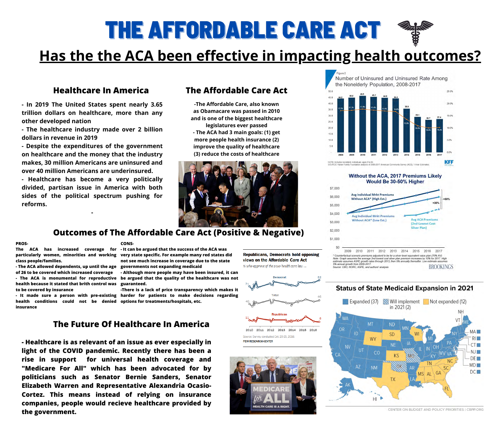

# **Has the the ACA been effective in impacting health outcomes?**

## **Healthcare In America The Affordable Care Act**

**- In 2019 The United States spent nearly 3.65 trillion dollars on healthcare, more than any other developed nation**

**- The healthcare industry made over 2 billion dollars in revenue in 2019**

**- Despite the expenditures of the government on healthcare and the money that the industry makes, 30 million Americans are uninsured and over 40 million Americans are underinsured.**

**- Healthcare has become a very politically divided, partisan issue in America with both sides of the political spectrum pushing for reforms.**

**-**

## **Outcomes of The Affordable Care Act (Positive & Negative)**

**-The Affordable Care, also known as Obamacare was passed in 2010 and is one of the biggest healthcare legislatures ever passed - The ACA had 3 main goals: (1) get more people health insurance (2) improve the quality of healthcare (3) reduce the costs of healthcare**











Family Foundation analysis of 2008-2017 American Community Survey (ACS), 1-Year Estimates

| \$7,000 |                                                                                             |
|---------|---------------------------------------------------------------------------------------------|
| \$6,000 | Avg<br>Wit                                                                                  |
| \$5,000 |                                                                                             |
| \$4,000 | Av                                                                                          |
| \$3,000 | Νĭ                                                                                          |
| \$2,000 |                                                                                             |
| \$1,000 |                                                                                             |
| \$0     | 2009                                                                                        |
|         | * Counterfactual scer<br>Note: Graph assume.<br>estimate assumes AS<br>5% annual growth fro |



## **Without the ACA, 2017 Premiums Likely** Would Be 30-50% Higher



ario premiums adjusterd to be for a silver-level equivalent value plan (70% AV). s the average 2nd-lowest cost silver plan premium increases by 10% for 2017. High SPE growth rates through 2013, then 5% annually thereafter. Low estimate assumes n 2009-2017. **BROOKINGS** Source: CBO, NORC, ASPE, and authors' analysis

## **The Future Of Healthcare In America**

### **PROS-**

**class people/families.**

**- The ACA allowed dependents, up until the age governments not expanding medicaid of 26 to be covered which increased coverage**

**- The ACA is monumental for reproductive health because it stated that brith control was guaranteed. to be covered by insurance**

**health conditions could not be denied options for treatments/hospitals, etc.insurance**

**The ACA has increased coverage for - It can be argued that the success of the ACA was particularly women, minorities and working very state specific. For example many red states did not see much increase in coverage due to the state - Although more people may have been insured, it can be argued that the quality of the healthcare was not**

**- Healthcare is as relevant of an issue as ever especially in light of the COVID pandemic. Recently there has been a rise in support for universal health coverage and "Medicare For All" which has been advocated for by politicians such as Senator Bernie Sanders, Senator Elizabeth Warren and Representative Alexandria Ocasio-Cortez. This means instead of relying on insurance companies, people would recieve healthcare provided by the government.**

**- It made sure a person with pre-existing harder for patients to make decisions regarding -There is a lack of price transparency which makes it**

**CONS-**

CENTER ON BUDGET AND POLICY PRIORITIES | CBPP.ORG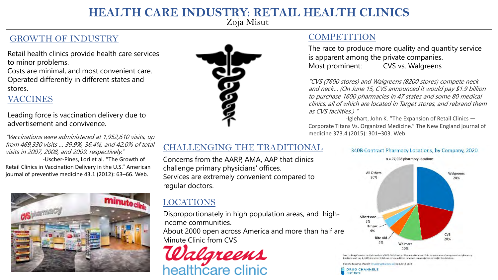### **HEALTH CARE INDUSTRY: RETAIL HEALTH CLINICS**

Zoja Misut

### GROWTH OF INDUSTRY

Retail health clinics provide health care services to minor problems.

Costs are minimal, and most convenient care. Operated differently in different states and stores.

#### VACCINES

Leading force is vaccination delivery due to advertisement and convivence.

"Vaccinations were administered at 1,952,610 visits, up from 469,330 visits … 39.9%, 36.4%, and 42.0% of total visits in 2007, 2008, and 2009, respectively." -Uscher-Pines, Lori et al. "The Growth of Retail Clinics in Vaccination Delivery in the U.S." American journal of preventive medicine 43.1 (2012): 63–66. Web.





#### **COMPETITION**

The race to produce more quality and quantity service is apparent among the private companies. Most prominent: CVS vs. Walgreens

"CVS (7600 stores) and Walgreens (8200 stores) compete neck and neck… (On June 15, CVS announced it would pay \$1.9 billion to purchase 1600 pharmacies in 47 states and some 80 medical clinics, all of which are located in Target stores, and rebrand them as CVS facilities.) "

-Iglehart, John K. "The Expansion of Retail Clinics — Corporate Titans Vs. Organized Medicine." The New England journal of medicine 373.4 (2015): 301–303. Web.

#### CHALLENGING THE TRADITIONAL

Concerns from the AARP, AMA, AAP that clinics challenge primary physicians' offices. Services are extremely convenient compared to regular doctors.

#### LOCATIONS

Disproportionately in high population areas, and highincome communities.

About 2000 open across America and more than half are Minute Clinic from CVS



#### 340B Contract Pharmacy Locations, by Company, 2020  $n = 27,928$  pharmacy locations



rug Channels Institute analysis of OPA Daily Contract Pharmacy Database. Data show number of unique contract pharmacy ns as of July 1, 2020. Company totals are computed from combined banners (store names) in the database

ished on Drug Channels (www.DrugChannels.net) on July 14, 2020.

**DRUG CHANNELS INSTITUTE**